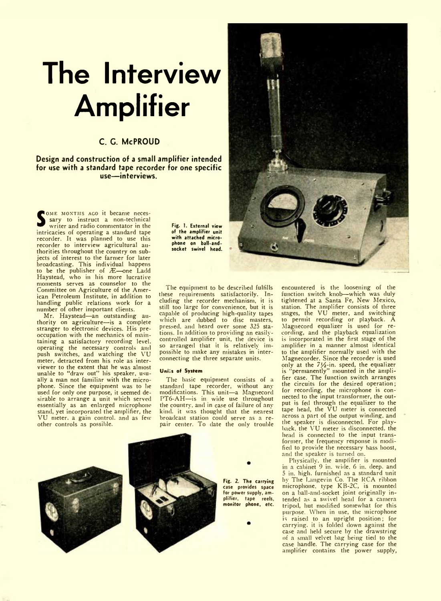# **The Interview Amplifier**

## **C. C. McPROUD**

**Design and construction of a small amplifier intended for use with a standard tape recorder for one specific use— interviews.**

**Sary** to instruct a non-technical writer and radio commentator in the intricacies of operating a standard tape OME MONTHS ACO it became necessary to instruct a non-technical writer and radio commentator in the recorder. It was planned to use this recorder to interview agricultural authorities throughout the country on subjects of interest to the farmer for later broadcasting. This individual happens<br>to be the publisher of Æ—one Ladd<br>Haystead, who in his more lucrative moments serves as counselor to the Committee on Agriculture of the American Petroleum Institute, in addition to handling public relations work for a

number of other important clients. Mr. Haystead—an outstanding authority on agriculture—is a complete stranger to electronic devices. His preoccupation with the mechanics of maintaining a satisfactory recording level, operating the necessary controls and push switches, and watching the VU meter, detracted from his role as interviewer to the extent that he was almost unable to "draw out" his speaker, usu-ally a man not familiar with the microphone. Since the equipment was to he used for only one purpose, it seemed desirable to arrange a unit which served essentially as an enlarged microphone stand, yet incorporated the amplifier, the VU meter, a gain control, and as few other controls as possible.

Fig. 1. External view of the amplifier unit with attached microphone on ball-and-socket swivel head.

The equipment to be described fulfills these requirements satisfactorily. In-cluding tlie recorder mechanism, it is still too large for convenience, but it is capable of producing high-quality tapes which are dubbed to disc masters, pressed, and heard over some 325 stations. In addition to providing an easilycontrolled amplifier unit, the device is so arranged that it is relatively impossible to make any mistakes in interconnecting the three separate units.

#### **Unfix of System**

The basic equipment consists of a standard tape recorder, without any modifications. This unit—a Magnecord PT6-AH—is in wide use throughout the country, and in case of failure of any kind, it was thought that the nearest broadcast station could serve as a repair center. To date the only trouble



Fig. 2. The carrying case provides space for power supply, amplifier, tape reels, monitor phone, etc.



encountered is the loosening of the function switch knob—which was duly tightened at a Santa Fe, New Mexico, station. The amplifier consists of three stages, the VU meter, and switching to permit recording or playback. A Magnecord equalizer is used for recording, and the playback equalization is incorporated in the first stage of the amplifier in a manner almost identical to the amplifier normally used with the Magnecorder. Since the recorder is used only at the *71/2*-in. speed, the equalizer is "permanently" mounted in the amplifier case. The function switch arranges the circuits for the desired operation; for recording, the microphone is connected to the input transformer, the output is fed through the equalizer to the tape head, the  $\overline{V}U$  meter is connected across a part of the output winding, and the speaker is disconnected. For playback. the VU meter is disconnected, the head is connected to the input transformer, the frequency response is modified to provide the necessary bass boost, and the speaker is turned on.

Physically, the amplifier is mounted in a cabinet 9 in. wide. 6 in. deep, and 5 in. high, furnished as a standard unit by The Langevin Co. The RCA ribbon microphone, type KB-2C, is mounted on a ball-and-socket joint originally intended as a swivel head for a camera tripod, hut modified somewhat for this purpose. When in use, the microphone is raised to an upright position; for carrying, it is folded down against the case and held secure by the drawstring of a small velvet bag being tied to the case handle. The carrying case for the amplifier contains the power supply,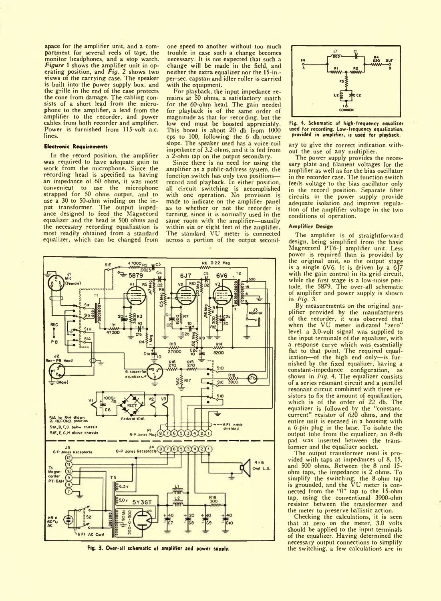space for the amplifier unit, and a compartment for several reels of tape, the monitor headphones, and a stop watch. Figure 1 shows the amplifier unit in operating position, and *Fig. 2* shows two views of the carrying case. The speaker is built into the power supply box, and the grille in the end of the case protects the cone from damage. The cabling con-sists of a short lead from the microphone to the amplifier, a lead from the amplifier to the recorder, and power cables from both recorder and amplifier. Power is furnished from 115-volt a.c. lines.

### **Electronic Requirements**

In the record position, the amplifier was required to have adequate gain to work from the microphone. Since the recording head is specified as having an impedance of 60 ohms, it was most convenient to use the microphone strapped for 50 ohms output, and to use a 30 to 50-ohm winding on the input transformer. The output impedance designed to feed the Magnecord equalizer and the head is 500 ohms and the necessary recording equalization is most readily obtained from a standard equalizer, which can be changed from one speed to another without too much trouble in case such a change becomes necessary. It is not expected that such a change will be made in the field, and neither the extra equalizer nor the 15-in. per-sec. capstan and idler roller is carried with the equipment.

For playback, the input impedance remains at 50 ohms, a satisfactory match for the 60-ohm head. The gain needed for playback is of the same order of magnitude as that for recording, but the low end must be boosted appreciably. This boost is about 20 db from 1000 cps to 100, following the 6 db octave slope. The speaker used has a voice-coil impedance of 3.2 ohms, and it is fed from a 2-ohm tap on the output secondary.

Since there is no need for using the amplifier as a public-address system, tbe function switch has only two positions record and playback. In either position, all circuit switching is accomplished with one operation. No provision is made to indicate on the amplifier panel as to whether or not the recorder is turning, since it is normally used in the same room with the amplifier—usually within six or eight feet of the amplifier. The standard VU meter is connected across a portion of the output second-



Fig. 3. Over-all schematic of amplifier and power supply.



Fig. 4. Schematic of high-frequency equalizer used for recording. Low-frequency equalization,<br>provided in amplifier, is used for playback.

ary to give the correct indication without the use of any multiplier.

The power supply provides the necessary plate and filament voltages for the amplifier as well as for the bias oscillator in the recorder case. The function switch feeds voltage to the bias oscillator only in the record position. Separate filter circuits in the power supply provide adequate isolation and improve regulation of the amplifier voltage in the two conditions of operation.

#### **Amplifier Design**

The amplifier is of straightforward design, being simplified from the basic<br>Magnecord PT6-J amplifier unit. Less<br>power is required than is provided by the original unit, so the output stage is a single 6V6. It is driven by a 6J7 with the gain control in its grid circuit, while the first stage is a low-noise pentode, the 5879. The over-all schematic of amplifier and power supply is shown in *Fig.* 3.

By measurements on the original amplifier provided by the manufacturers of the recorder, it was observed that when the VU meter indicated "zero" level, a 3.0-volt signal was supplied to the input terminals of the equalizer, with a response curve which was essentially flat to that point. The required equalization—of the high end only—is furnished by the fixed equalizer, having a constant-impedance configuration, as shown in *Fig.* 4. The equalizer consists of a series resonant circuit and a parallel resonant circuit combined with three resistors to fix the amount of equalization, which is of the order of 22 db. The equalizer is followed by the "constantcurrent" resistor of 620 ohms, and the entire unit is encased in a housing with a 6-pin plug in the base. To isolate the output tube from the equalizer, an 8-db pad was inserted between the transformer and the equalizer socket.

The output transformer used is provided with taps at impedances of 8, 15, and 500 ohms. Between the 8 and 15 ohm taps, the impedance is 2 ohms. To simplify the switching, the 8-ohm tap is grounded, and the VU meter is con-nected from the "0" tap to the 15-ohm tap, using the conventional 3900-ohm resistor between the transformer and the meter to preserve ballistic action.

Checking the calculations, it is seen that at zero on the meter, 3.0 volts should be applied to the input terminals of the equalizer. Having determined the necessary output connections to simplify the switching, a few calculations are in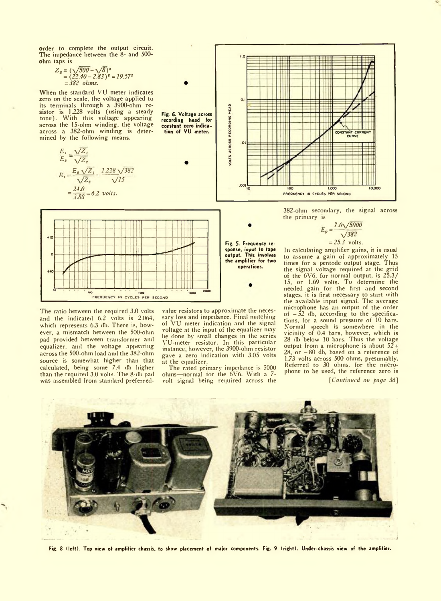order to complete the output circuit. The impedance between the 8- and 500 ohm taps is

$$
Z_{\mathbf{z}} = (\sqrt{500} - \sqrt{8})^{\mathbf{z}}
$$
  
= (22.40 - 2.83) <sup>$\mathbf{z}$</sup>  = 19.57 <sup>$\mathbf{z}$</sup>   
= 382 ohims.

When the standard VU meter indicates zero on the scale, the voltage applied to its terminals through a 3900-ohm re-sistor is 1.228 volts (using a steady tone). With this voltage appearing across the 15-ohm winding, the voltage across a 382-ohm winding is determined by the following means.

$$
E_1 = \frac{\sqrt{Z_1}}{\sqrt{Z_2}}
$$
  
\n
$$
E_1 = \frac{E_1 \sqrt{Z_1}}{\sqrt{Z_1}} = \frac{1.228 \sqrt{382}}{\sqrt{15}}
$$
  
\n
$$
= \frac{24.0}{3.88} = 6.2 \text{ volts.}
$$





The ratio between the required 3.0 volts and the indicated 6.2 volts is 2.064, which represents 6.3 db. There is, however, a mismatch between the 500-ohm pad provided between transformer and equalizer, and the voltage appearing across the 500-ohm load and the 382-ohm source is somewhat higher than that calculated, being some 7.4 db higher than the required 3.0 volts. The 8-db pad was assembled from standard preferredvalue resistors to approximate the necessary loss and impedance. Final matching of VU meter indication and the signal voltage at the input of the equalizer may be done by small changes in the series YU-meter resistor. In this particular instance however, the 3900-ohm resistor gave a zero indication with 3.05 volts at the equalizer.

Fig. 5. Frequency response, input to tape<br>output. This involves the amplifier for two operations.

The rated primary impedance is 5000 ohms—normal for the 6V6. With a 7 volt signal being required across the



382-ohm secondary, the signal across the primary is

$$
\vec{E}_p = \frac{7.0\sqrt{5000}}{\sqrt{382}}
$$
  
= 25.3 volts.

In calculating amplifier gains, it is usual to assume a gain of approximately 15 times for a pentode output stage. Thus the signal voltage required at the grid<br>of the 6V6, for normal output, is 25.3/<br>15, or 1.69 volts. To determine the<br>needed gain for the first and second stages, it is first necessary to start with the available input signal. The average microphone has an output of the order of  $-52$  db, according to the specifications, for a sound pressure of 10 bars. Normal speech is somewhere in the vicinity of 0.4 bars, however, which is 28 db below 10 bars. Thus the voltage output from a microphone is about  $52$  - $28$  or  $-80$  db, based on a reference of 1.73 volts across 500 ohms, presumably. Referred to 30 ohms, for the microphone to be used, the reference zero is

*[Continued on page 36]*



Fig. 8 (le ft). Top view of amplifier chassis, to show placement of major components. Fig. 9 (right). Under-chassis view of the amplifier.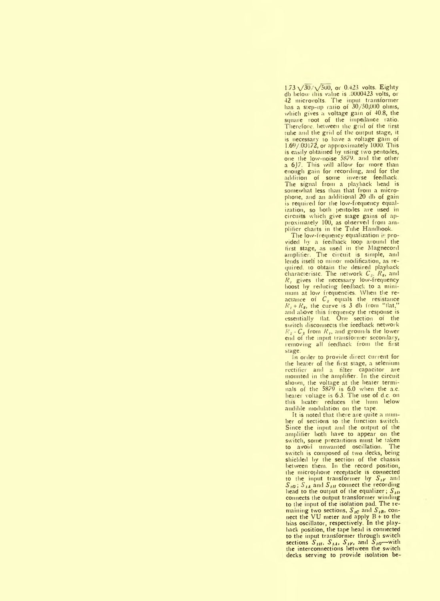$1.73 \sqrt{30}/\sqrt{500}$ , or 0.423 volts. Eighty db below this value is .0000423 volts, or 42 microvolts. The input transformer has a step-up ratio of  $30/50,000$  ohms, which gives a voltage gain of 40.8, the square root of the impedance ratio. Therefore, between the grid of the first tube and the grid of the output stage, it is necessary to have a voltage gain of 1.69/.00172, or approximately 1000. This is easily obtained by using two pentodes, one the low-noise 5879. and the other a 6J7. This will allow for more than enough gain for recording, and for the addition of some inverse feedback. The signal from a playback bead is somewhat less than that fiom a microphone, and an additional 20 db of gain is required for the low-frequency equalization, so both pentodes are used in circuits which give stage gains of approximately 100, as observed from am plitier charts in the Tube Handbook.

The low-frequency equalization is provided by a feedback loop around the first stage, as used in the Magnecord amplifier. The circuit is simple, and lends itself to minor modification, as required. to obtain the desired playback characteriste. The network  $C_3$ ,  $R_2$ , and *R*, gives the necessary low-frequency boost by reducing feedback to a minimum at low frequencies. When the reactance of *C ,* equals the resistance  $R_1 + R_2$ , the curve is 3 db from "flat." and aliove this frequency the response is essentially fiat. One section of the switch disconnects the feedback network  $R_2 - C_3$  from  $R_1$ , and grounds the lower end of the input transformer secondary, removing all feedback from the first stage.

In order to provide direct current for the heater of the first stage, a selenium rectifier and a filter capacitor are mounted in the amplifier. In the circuit shown, the voltage at the heater terminals of the 5879 is 6.0 when the a.c. heater voltage is 6.3. The use of d.c. on this heater reduces the hum below audible modulation on the tape.

It is noted that there are quite a num her of sections to the function switch. Since the input and the output of the amplifier both have to appear on the switch, some precautions must be taken to avoid unwanted oscillation. The switch is composed of two decks, being shielded by the section of the chassis between them. In the record position, the microphone receptacle is connected to the input transformer by *S,p* and *S<sub>10</sub>*; *S<sub>1A</sub>* and *S<sub>1H</sub>* connect the recording head to the output of the equalizer;  $S_{ID}$ connects the output transformer winding to the input of the isolation pad. The remaining two sections, *S ,c* and *S ,b,* connect the VU meter and apply B + to the bias oscillator, respectively. In the play back position, the tape head is connected to the input transformer through switch sections  $S_{III}$ ,  $S_{IA}$ ,  $S_{IF}$ , and  $\tilde{S}_{IO}$ —with the interconnections between the switch decks serving to provide isolation be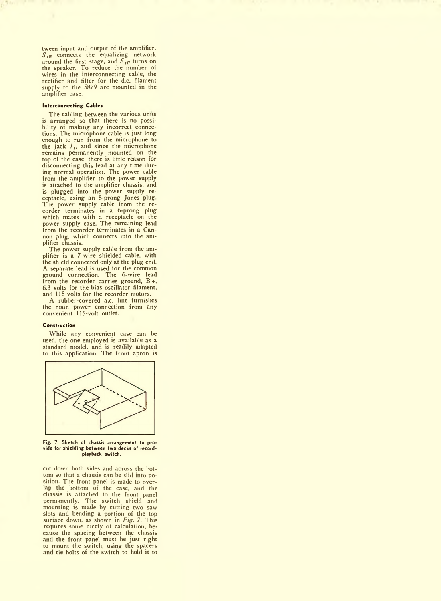tween input and output of the amplifier.  $S_{IB}$  connects the equalizing network around the first stage, and  $S_{10}$  turns on the speaker. To reduce the number of wires in the interconnecting cable, the rectifier and filter for the d.c. filament supply to the 5879 are mounted in the amplifier case.

#### **Interconnecting Cables**

The cabling between the various units is arranged so that there is no possibility of making any incorrect connections. The microphone cable is just long enough to run from the microphone to the jack  $J_{1}$  and since the microphone remains permanently mounted on the top of the case, there is little reason for disconnecting this lead at any time during normal operation. The power cable from the amplifier to the power supply is attached to the amplifier chassis, and is plugged into the power supply receptacle, using an 8-prong Jones plug. The power supply cable from the re-corder terminates in a 6-prong plug which mates with a receptacle on the power supply case. The remaining lead from the recorder terminates in a Cannon plug, which connects into the amplifier chassis.

The power supply cable from the am-plifier is a 7-wire shielded cable, with the shield connected only at the plug end. A separate lead is used for the common ground connection. The 6-wire lead from the recorder carries ground, B +, 6.3 volts for the bias oscillator filament, and 115 volts for the recorder motors.

A rubber-covered a.c. line furnishes the main power connection from any convenient 115-volt outlet.

#### **Construction**

While any convenient case can be used, the one employed is available as a standard model, and is readily adapted to this application. The front apron is



Fig. 7. Sketch of chassis arrangement to provide for shielding between two decks of recordplayback switch.

cut down both sides and across the bottom so that a chassis can be slid into position. The front panel is made to overlap the bottom of the case, and the chassis is attached to the front panel permanently. The switch shield and mounting is made by cutting two saw slots and bending a portion of the top surface down, as shown in *Fig. 7.* This requires some nicety of calculation, because the spacing between the chassis and the front panel must be just right to mount the switch, using the spacers and tie bolts of the switch to hold it to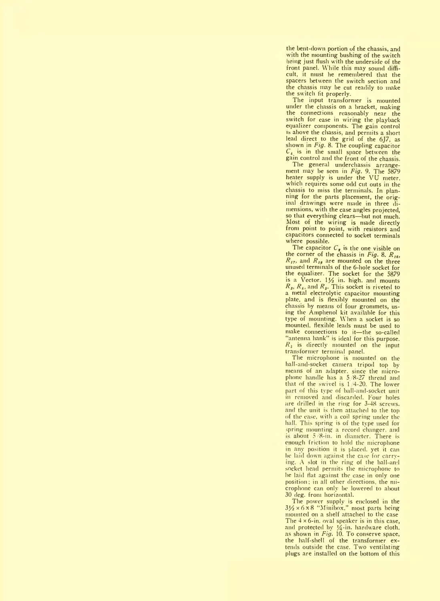the bent-down portion of the chassis, and with the mounting bushing of the switch heing just flush with the underside of the front panel. While this may sound difficult, it must he remembered that the spacers between the switch section and the chassis may be cut readily to make the switch fit properly.

The input transformer is mounted under the chassis on a bracket, making the connections reasonably near the switch for ease in wiring the playback equalizer components. The gain control is above the chassis, and permits a short lead direct to the grid of the 6J7, as shown in *Fig.* 8. The coupling capacitor *C\* is in the small space between the gain control and the front of the chassis.

The general underchassis arrange-ment may be seen in *Fig.* 9. The 5879 heater supply is under the VU meter, which requires some odd cut outs in the chassis to miss the terminals. In planning for the parts placement, the original drawings were made in three dimensions, with the case angles projected, so that everything clears—but not much. Most of the wiring is made directly from point to point, with resistors and capacitors connected to socket terminals where possible.

The capacitor  $C_{\epsilon}$  is the one visible on the corner of the chassis in *Fig.* 8.  $R_{16}$ , *R ,7,* and *R ,a* are mounted on the three unused terminals of the 6-hole socket for the equalizer. The socket for the 5879 is a Vector. *\y2* in. high, and mounts *R s, R,* and *R s.* This socket is riveted to a metal electrolytic capacitor mounting plate, and is flexibly mounted on the chassis by means of four grommets, using the Amphenol kit available for this type of mounting. When a socket is so mounted, flexible leads must be used to make connections to it—the so-called "antenna hank" is ideal for this purpose. *R,* is directly mounted on the input transformer terminal panel.

The microphone is mounted on the ball-and-socket camera tripod top by means of an adapter, since the microphone handle Inis a 5/8-27 thread and that of the swivel is 1 4-20. The lower part of this type of ball-and-socket unit in removed and discarded. Four holes are drilled in the ring for 3-48 screws. and the unit is then attached to the top of the ease, with a coil spring under the hall. This spring is of the type used for spring mounting a record changer, and is about  $5/8$ -in. in diameter. There is enough friction to hold the microphone in any position it is placed, yet it can be laid down against the case for carrying. A slot in the ring of the ball-and socket head permits the microphone to he laid flat against the case in only one position; in all other directions, the microphone can only be lowered to about 30 deg. from horizontal.

The power supply is enclosed in the  $3\frac{1}{2} \times 6 \times 8$  "Minibox." most parts being mounted on a shelf attached to the case The  $4 \times 6$ -in. oval speaker is in this case, and protected by  $\frac{1}{4}$ -in. hardware cloth, as shown in *Fig.* 10. To conserve space, the half-shell of the transformer extends outside the case. Two ventilating plugs are installed on the bottom of this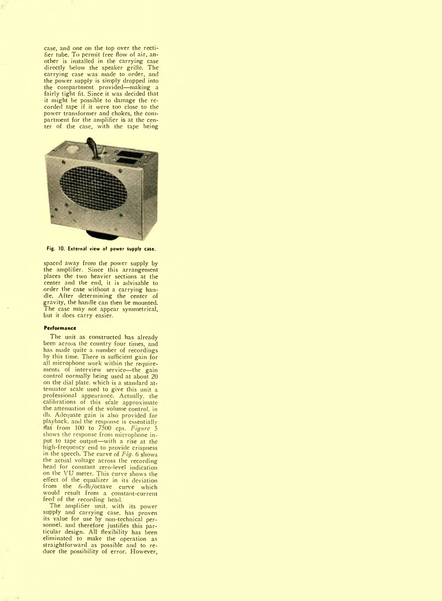case, and one on the top over the rectifier tube. To permit free flow of air, another is installed in the carrying case directly below the speaker grille. The carrying case was made to order, and the power supply is simply dropped into the compartment provided—making a fairly tight fit. Since it was decided that it might be possible to damage the recorded tape if it were too close to the power transformer and chokes, the compartment for the amplifier is at the center of the case, with the tape being



Fig. 10. External view of power supply case.

spaced away from the power supply by the amplifier. Since this arrangement places the two heavier sections at the center and the end, it is advisable to order the case without a carrying handle. After determining the center of gravity, the handle can then be mounted. The case may not appear symmetrical, but it does carry easier.

#### **Performance**

The unit as constructed has already been across the country four times, and has made quite a number of recordings by this time. There is sufficient gain for all microphone work within the requirements of interview service— the gain control normally being used at about 20 on the dial plate, which is a standard attenuator scale used to give this unit a professional appearance. Actually, the calibrations of this scale approximate the attenuation of the volume control, in db. Adequate gain is also provided for playback, and the response is essentially nat from 100 to 7500 cps. *Figure* 5 shows the response from microphone input to tape output—with a rise at the high-frequency end to provide crispness in the speech. The curve of *Fig.* 6 shows the actual voltage across the recording head for constant zero-level indication on the VU meter. This curve shows the effect of the equalizer in its deviation from the 6-db/octave curve which would result from a constant-current feed of the recording head.

The amplifier unit, with its power supply and carrying case, has proven its value for use by non-technical personnel. and therefore justifies this particular design. All flexibility has been eliminated to make the operation as straightforward as possible and to reduce the possibility of error. However,